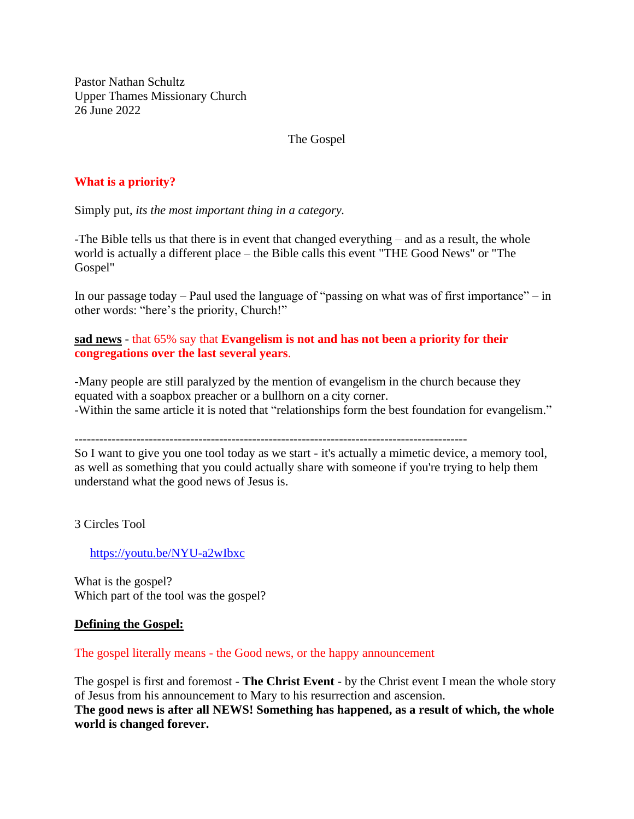Pastor Nathan Schultz Upper Thames Missionary Church 26 June 2022

The Gospel

## **What is a priority?**

Simply put, *its the most important thing in a category.*

-The Bible tells us that there is in event that changed everything – and as a result, the whole world is actually a different place – the Bible calls this event "THE Good News" or "The Gospel"

In our passage today – Paul used the language of "passing on what was of first importance" – in other words: "here's the priority, Church!"

**sad news** - that 65% say that **Evangelism is not and has not been a priority for their congregations over the last several years**.

-Many people are still paralyzed by the mention of evangelism in the church because they equated with a soapbox preacher or a bullhorn on a city corner. -Within the same article it is noted that "relationships form the best foundation for evangelism."

So I want to give you one tool today as we start - it's actually a mimetic device, a memory tool, as well as something that you could actually share with someone if you're trying to help them understand what the good news of Jesus is.

3 Circles Tool

<https://youtu.be/NYU-a2wIbxc>

What is the gospel? Which part of the tool was the gospel?

#### **Defining the Gospel:**

The gospel literally means - the Good news, or the happy announcement

The gospel is first and foremost - **The Christ Event** - by the Christ event I mean the whole story of Jesus from his announcement to Mary to his resurrection and ascension. **The good news is after all NEWS! Something has happened, as a result of which, the whole world is changed forever.**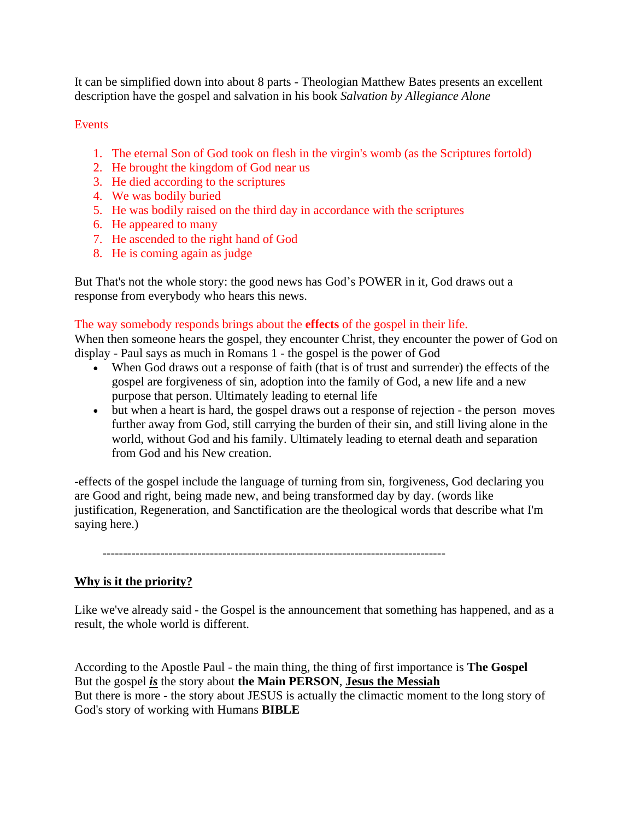It can be simplified down into about 8 parts - Theologian Matthew Bates presents an excellent description have the gospel and salvation in his book *Salvation by Allegiance Alone*

### Events

- 1. The eternal Son of God took on flesh in the virgin's womb (as the Scriptures fortold)
- 2. He brought the kingdom of God near us
- 3. He died according to the scriptures
- 4. We was bodily buried
- 5. He was bodily raised on the third day in accordance with the scriptures
- 6. He appeared to many
- 7. He ascended to the right hand of God
- 8. He is coming again as judge

But That's not the whole story: the good news has God's POWER in it, God draws out a response from everybody who hears this news.

### The way somebody responds brings about the **effects** of the gospel in their life.

When then someone hears the gospel, they encounter Christ, they encounter the power of God on display - Paul says as much in Romans 1 - the gospel is the power of God

- When God draws out a response of faith (that is of trust and surrender) the effects of the gospel are forgiveness of sin, adoption into the family of God, a new life and a new purpose that person. Ultimately leading to eternal life
- but when a heart is hard, the gospel draws out a response of rejection the person moves further away from God, still carrying the burden of their sin, and still living alone in the world, without God and his family. Ultimately leading to eternal death and separation from God and his New creation.

-effects of the gospel include the language of turning from sin, forgiveness, God declaring you are Good and right, being made new, and being transformed day by day. (words like justification, Regeneration, and Sanctification are the theological words that describe what I'm saying here.)

-----------------------------------------------------------------------------------

# **Why is it the priority?**

Like we've already said - the Gospel is the announcement that something has happened, and as a result, the whole world is different.

According to the Apostle Paul - the main thing, the thing of first importance is **The Gospel**  But the gospel *is* the story about **the Main PERSON**, **Jesus the Messiah** But there is more - the story about JESUS is actually the climactic moment to the long story of God's story of working with Humans **BIBLE**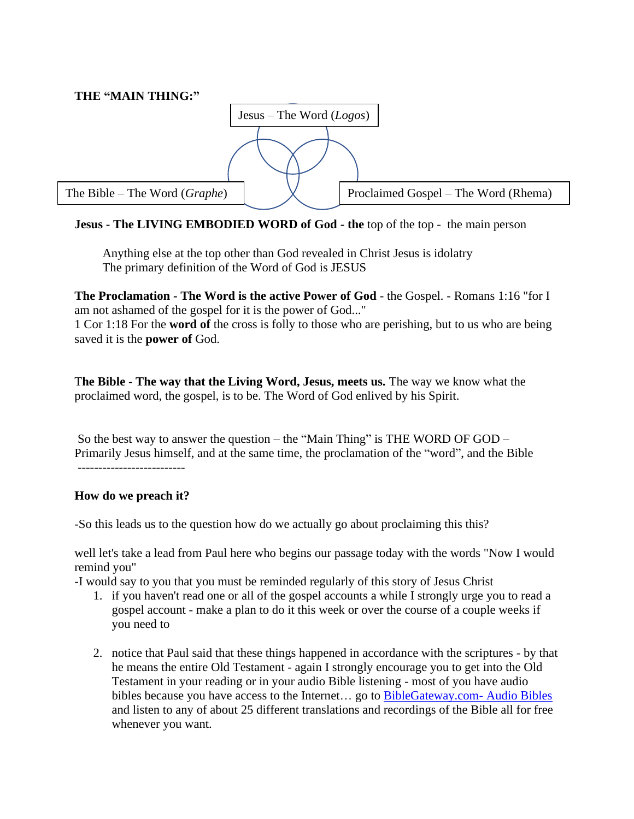

# **Jesus - The LIVING EMBODIED WORD of God - the** top of the top - the main person

Anything else at the top other than God revealed in Christ Jesus is idolatry The primary definition of the Word of God is JESUS

**The Proclamation - The Word is the active Power of God** - the Gospel. - Romans 1:16 "for I am not ashamed of the gospel for it is the power of God..."

1 Cor 1:18 For the **word of** the cross is folly to those who are perishing, but to us who are being saved it is the **power of** God.

T**he Bible - The way that the Living Word, Jesus, meets us.** The way we know what the proclaimed word, the gospel, is to be. The Word of God enlived by his Spirit.

So the best way to answer the question – the "Main Thing" is THE WORD OF GOD – Primarily Jesus himself, and at the same time, the proclamation of the "word", and the Bible

**How do we preach it?**

-So this leads us to the question how do we actually go about proclaiming this this?

well let's take a lead from Paul here who begins our passage today with the words "Now I would remind you"

-I would say to you that you must be reminded regularly of this story of Jesus Christ

- 1. if you haven't read one or all of the gospel accounts a while I strongly urge you to read a gospel account - make a plan to do it this week or over the course of a couple weeks if you need to
- 2. notice that Paul said that these things happened in accordance with the scriptures by that he means the entire Old Testament - again I strongly encourage you to get into the Old Testament in your reading or in your audio Bible listening - most of you have audio bibles because you have access to the Internet... go to [BibleGateway.com-](https://www.biblegateway.com/resources/audio/) Audio Bibles and listen to any of about 25 different translations and recordings of the Bible all for free whenever you want.